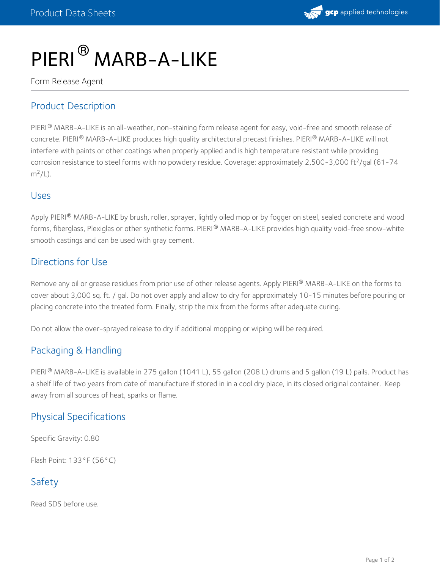

# PIERI<sup>®</sup> MARB-A-LIKE

Form Release Agent

## Product Description

PIERI® MARB-A-LIKE is an all-weather, non-staining form release agent for easy, void-free and smooth release of concrete. PIERI® MARB-A-LIKE produces high quality architectural precast finishes. PIERI® MARB-A-LIKE will not interfere with paints or other coatings when properly applied and is high temperature resistant while providing corrosion resistance to steel forms with no powdery residue. Coverage: approximately 2,500-3,000 ft<sup>2</sup>/gal (61-74  $m^2/L$ ).

#### Uses

Apply PIERI® MARB-A-LIKE by brush, roller, sprayer, lightly oiled mop or by fogger on steel, sealed concrete and wood forms, fiberglass, Plexiglas or other synthetic forms. PIERI® MARB-A-LIKE provides high quality void-free snow-white smooth castings and can be used with gray cement.

#### Directions for Use

Remove any oil or grease residues from prior use of other release agents. Apply PIERI® MARB-A-LIKE on the forms to cover about 3,000 sq. ft. / gal. Do not over apply and allow to dry for approximately 10-15 minutes before pouring or placing concrete into the treated form. Finally, strip the mix from the forms after adequate curing.

Do not allow the over-sprayed release to dry if additional mopping or wiping will be required.

### Packaging & Handling

PIERI® MARB-A-LIKE is available in 275 gallon (1041 L), 55 gallon (208 L) drums and 5 gallon (19 L) pails. Product has a shelf life of two years from date of manufacture if stored in in a cool dry place, in its closed original container. Keep away from all sources of heat, sparks or flame.

### Physical Specifications

Specific Gravity: 0.80

Flash Point: 133°F (56°C)

## Safety

Read SDS before use.